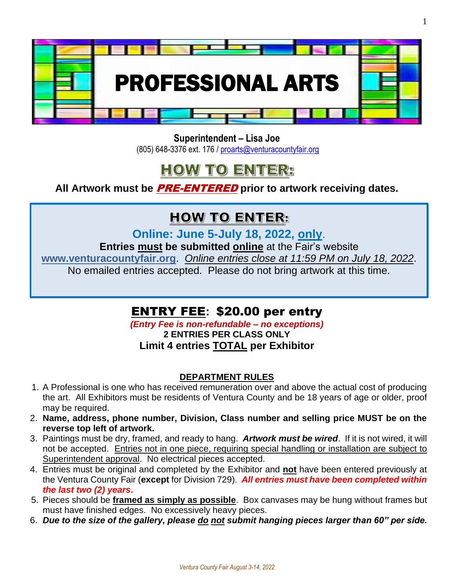

**Superintendent – Lisa Joe** (805) 648-3376 ext. 176 / [proarts@venturacountyfair.org](mailto:proarts@venturacountyfair.org)

# **HOW TO ENTER:**

**All Artwork must be** PRE-ENTERED **prior to artwork receiving dates.** 

### **HOW TO ENTER:**

**Online: June 5-July 18, 2022, only**.

**Entries must be submitted online** at the Fair's website

**[www.venturacountyfair.org](http://www.venturacountyfair.org/)**. *Online entries close at 11:59 PM on July 18, 2022*.

No emailed entries accepted. Please do not bring artwork at this time.

### ENTRY FEE**:** \$20.00 per entry

*(Entry Fee is non-refundable – no exceptions)*

**2 ENTRIES PER CLASS ONLY Limit 4 entries TOTAL per Exhibitor**

### **DEPARTMENT RULES**

- 1. A Professional is one who has received remuneration over and above the actual cost of producing the art. All Exhibitors must be residents of Ventura County and be 18 years of age or older, proof may be required.
- 2. **Name, address, phone number, Division, Class number and selling price MUST be on the reverse top left of artwork.**
- 3. Paintings must be dry, framed, and ready to hang. *Artwork must be wired*. If it is not wired, it will not be accepted. Entries not in one piece, requiring special handling or installation are subject to Superintendent approval. No electrical pieces accepted.
- 4. Entries must be original and completed by the Exhibitor and **not** have been entered previously at the Ventura County Fair (**except** for Division 729). *All entries must have been completed within the last two (2) years***.**
- 5. Pieces should be **framed as simply as possible**. Box canvases may be hung without frames but must have finished edges. No excessively heavy pieces.
- 6. *Due to the size of the gallery, please do not submit hanging pieces larger than 60" per side.*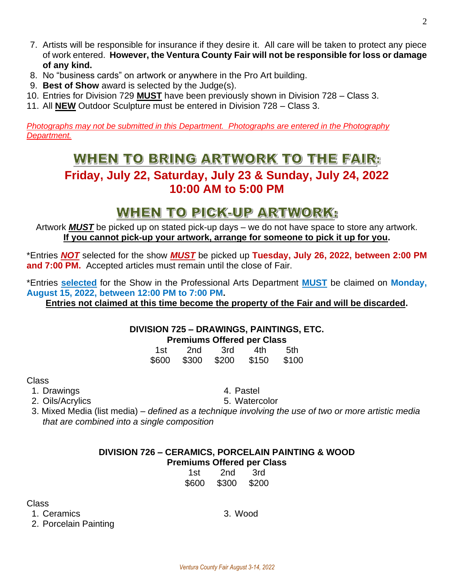- 7. Artists will be responsible for insurance if they desire it. All care will be taken to protect any piece of work entered. **However, the Ventura County Fair will not be responsible for loss or damage of any kind.**
- 8. No "business cards" on artwork or anywhere in the Pro Art building.
- 9. **Best of Show** award is selected by the Judge(s).
- 10. Entries for Division 729 **MUST** have been previously shown in Division 728 Class 3.
- 11. All **NEW** Outdoor Sculpture must be entered in Division 728 Class 3.

*Photographs may not be submitted in this Department. Photographs are entered in the Photography Department.*

### WHEN TO BRING ARTWORK TO THE FAIR:

### **Friday, July 22, Saturday, July 23 & Sunday, July 24, 2022 10:00 AM to 5:00 PM**

## WHEN TO PICK-UP ARTWORK:

Artwork *MUST* be picked up on stated pick-up days – we do not have space to store any artwork. **If you cannot pick-up your artwork, arrange for someone to pick it up for you.**

\*Entries *NOT* selected for the show *MUST* be picked up **Tuesday, July 26, 2022, between 2:00 PM and 7:00 PM.** Accepted articles must remain until the close of Fair.

\*Entries **selected** for the Show in the Professional Arts Department **MUST** be claimed on **Monday, August 15, 2022, between 12:00 PM to 7:00 PM.** 

**Entries not claimed at this time become the property of the Fair and will be discarded.**

#### **DIVISION 725 – DRAWINGS, PAINTINGS, ETC.**

#### **Premiums Offered per Class**

| 1st   | 2nd   | 3rd   | 4th   | .5th  |
|-------|-------|-------|-------|-------|
| \$600 | \$300 | \$200 | \$150 | \$100 |

Class

- 1. Drawings and the set of the set of the set of the set of the set of the set of the set of the set of the set of the set of the set of the set of the set of the set of the set of the set of the set of the set of the set
- 2. Oils/Acrylics 6. Watercolor

 3. Mixed Media (list media) – *defined as a technique involving the use of two or more artistic media that are combined into a single composition*

#### **DIVISION 726 – CERAMICS, PORCELAIN PAINTING & WOOD Premiums Offered per Class**

| 1st   | 2nd   | 3rd   |
|-------|-------|-------|
| \$600 | \$300 | \$200 |

Class

1. Ceramics 3. Wood

2. Porcelain Painting